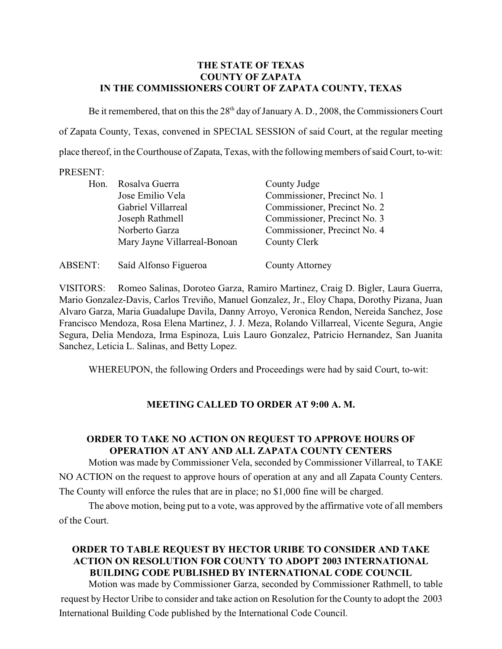#### **THE STATE OF TEXAS COUNTY OF ZAPATA IN THE COMMISSIONERS COURT OF ZAPATA COUNTY, TEXAS**

Be it remembered, that on this the  $28<sup>th</sup>$  day of January A. D., 2008, the Commissioners Court of Zapata County, Texas, convened in SPECIAL SESSION of said Court, at the regular meeting place thereof, in the Courthouse of Zapata, Texas, with the following members of said Court, to-wit:

#### PRESENT:

| Hon.           | Rosalva Guerra<br>Jose Emilio Vela<br>Gabriel Villarreal<br>Joseph Rathmell<br>Norberto Garza<br>Mary Jayne Villarreal-Bonoan | County Judge<br>Commissioner, Precinct No. 1<br>Commissioner, Precinct No. 2<br>Commissioner, Precinct No. 3<br>Commissioner, Precinct No. 4<br>County Clerk |
|----------------|-------------------------------------------------------------------------------------------------------------------------------|--------------------------------------------------------------------------------------------------------------------------------------------------------------|
| <b>ABSENT:</b> | Saíd Alfonso Figueroa                                                                                                         | County Attorney                                                                                                                                              |

VISITORS: Romeo Salinas, Doroteo Garza, Ramiro Martinez, Craig D. Bigler, Laura Guerra, Mario Gonzalez-Davis, Carlos Treviño, Manuel Gonzalez, Jr., Eloy Chapa, Dorothy Pizana, Juan Alvaro Garza, Maria Guadalupe Davila, Danny Arroyo, Veronica Rendon, Nereida Sanchez, Jose Francisco Mendoza, Rosa Elena Martinez, J. J. Meza, Rolando Villarreal, Vicente Segura, Angie Segura, Delia Mendoza, Irma Espinoza, Luis Lauro Gonzalez, Patricio Hernandez, San Juanita Sanchez, Leticia L. Salinas, and Betty Lopez.

WHEREUPON, the following Orders and Proceedings were had by said Court, to-wit:

## **MEETING CALLED TO ORDER AT 9:00 A. M.**

## **ORDER TO TAKE NO ACTION ON REQUEST TO APPROVE HOURS OF OPERATION AT ANY AND ALL ZAPATA COUNTY CENTERS**

Motion was made by Commissioner Vela, seconded by Commissioner Villarreal, to TAKE NO ACTION on the request to approve hours of operation at any and all Zapata County Centers. The County will enforce the rules that are in place; no \$1,000 fine will be charged.

The above motion, being put to a vote, was approved by the affirmative vote of all members of the Court.

## **ORDER TO TABLE REQUEST BY HECTOR URIBE TO CONSIDER AND TAKE ACTION ON RESOLUTION FOR COUNTY TO ADOPT 2003 INTERNATIONAL BUILDING CODE PUBLISHED BY INTERNATIONAL CODE COUNCIL**

Motion was made by Commissioner Garza, seconded by Commissioner Rathmell, to table request by Hector Uribe to consider and take action on Resolution for the County to adopt the 2003 International Building Code published by the International Code Council.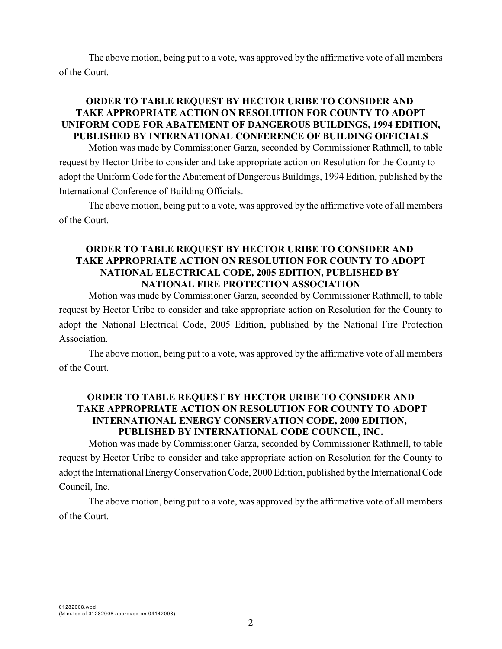The above motion, being put to a vote, was approved by the affirmative vote of all members of the Court.

## **ORDER TO TABLE REQUEST BY HECTOR URIBE TO CONSIDER AND TAKE APPROPRIATE ACTION ON RESOLUTION FOR COUNTY TO ADOPT UNIFORM CODE FOR ABATEMENT OF DANGEROUS BUILDINGS, 1994 EDITION, PUBLISHED BY INTERNATIONAL CONFERENCE OF BUILDING OFFICIALS**

Motion was made by Commissioner Garza, seconded by Commissioner Rathmell, to table request by Hector Uribe to consider and take appropriate action on Resolution for the County to adopt the Uniform Code for the Abatement of Dangerous Buildings, 1994 Edition, published by the International Conference of Building Officials.

The above motion, being put to a vote, was approved by the affirmative vote of all members of the Court.

### **ORDER TO TABLE REQUEST BY HECTOR URIBE TO CONSIDER AND TAKE APPROPRIATE ACTION ON RESOLUTION FOR COUNTY TO ADOPT NATIONAL ELECTRICAL CODE, 2005 EDITION, PUBLISHED BY NATIONAL FIRE PROTECTION ASSOCIATION**

Motion was made by Commissioner Garza, seconded by Commissioner Rathmell, to table request by Hector Uribe to consider and take appropriate action on Resolution for the County to adopt the National Electrical Code, 2005 Edition, published by the National Fire Protection Association.

The above motion, being put to a vote, was approved by the affirmative vote of all members of the Court.

## **ORDER TO TABLE REQUEST BY HECTOR URIBE TO CONSIDER AND TAKE APPROPRIATE ACTION ON RESOLUTION FOR COUNTY TO ADOPT INTERNATIONAL ENERGY CONSERVATION CODE, 2000 EDITION, PUBLISHED BY INTERNATIONAL CODE COUNCIL, INC.**

Motion was made by Commissioner Garza, seconded by Commissioner Rathmell, to table request by Hector Uribe to consider and take appropriate action on Resolution for the County to adopt the International Energy Conservation Code, 2000 Edition, published by the International Code Council, Inc.

The above motion, being put to a vote, was approved by the affirmative vote of all members of the Court.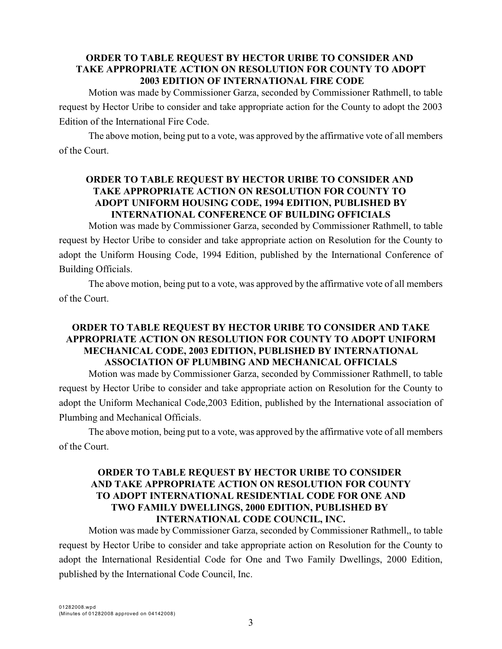### **ORDER TO TABLE REQUEST BY HECTOR URIBE TO CONSIDER AND TAKE APPROPRIATE ACTION ON RESOLUTION FOR COUNTY TO ADOPT 2003 EDITION OF INTERNATIONAL FIRE CODE**

Motion was made by Commissioner Garza, seconded by Commissioner Rathmell, to table request by Hector Uribe to consider and take appropriate action for the County to adopt the 2003 Edition of the International Fire Code.

The above motion, being put to a vote, was approved by the affirmative vote of all members of the Court.

## **ORDER TO TABLE REQUEST BY HECTOR URIBE TO CONSIDER AND TAKE APPROPRIATE ACTION ON RESOLUTION FOR COUNTY TO ADOPT UNIFORM HOUSING CODE, 1994 EDITION, PUBLISHED BY INTERNATIONAL CONFERENCE OF BUILDING OFFICIALS**

Motion was made by Commissioner Garza, seconded by Commissioner Rathmell, to table request by Hector Uribe to consider and take appropriate action on Resolution for the County to adopt the Uniform Housing Code, 1994 Edition, published by the International Conference of Building Officials.

The above motion, being put to a vote, was approved by the affirmative vote of all members of the Court.

## **ORDER TO TABLE REQUEST BY HECTOR URIBE TO CONSIDER AND TAKE APPROPRIATE ACTION ON RESOLUTION FOR COUNTY TO ADOPT UNIFORM MECHANICAL CODE, 2003 EDITION, PUBLISHED BY INTERNATIONAL ASSOCIATION OF PLUMBING AND MECHANICAL OFFICIALS**

Motion was made by Commissioner Garza, seconded by Commissioner Rathmell, to table request by Hector Uribe to consider and take appropriate action on Resolution for the County to adopt the Uniform Mechanical Code,2003 Edition, published by the International association of Plumbing and Mechanical Officials.

The above motion, being put to a vote, was approved by the affirmative vote of all members of the Court.

## **ORDER TO TABLE REQUEST BY HECTOR URIBE TO CONSIDER AND TAKE APPROPRIATE ACTION ON RESOLUTION FOR COUNTY TO ADOPT INTERNATIONAL RESIDENTIAL CODE FOR ONE AND TWO FAMILY DWELLINGS, 2000 EDITION, PUBLISHED BY INTERNATIONAL CODE COUNCIL, INC.**

Motion was made by Commissioner Garza, seconded by Commissioner Rathmell,, to table request by Hector Uribe to consider and take appropriate action on Resolution for the County to adopt the International Residential Code for One and Two Family Dwellings, 2000 Edition, published by the International Code Council, Inc.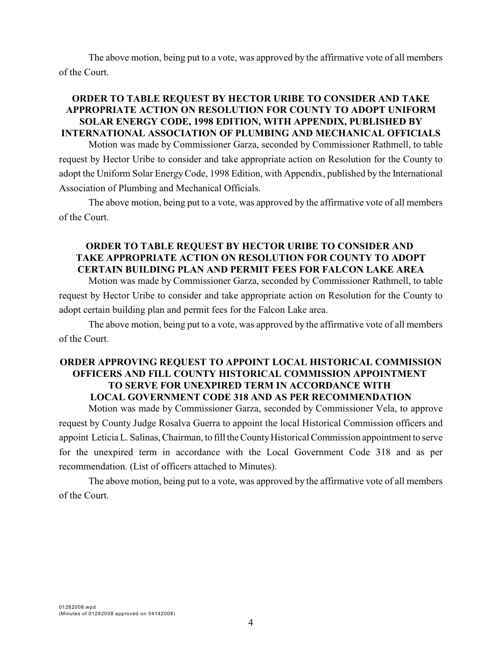The above motion, being put to a vote, was approved by the affirmative vote of all members of the Court.

### **ORDER TO TABLE REQUEST BY HECTOR URIBE TO CONSIDER AND TAKE APPROPRIATE ACTION ON RESOLUTION FOR COUNTY TO ADOPT UNIFORM SOLAR ENERGY CODE, 1998 EDITION, WITH APPENDIX, PUBLISHED BY INTERNATIONAL ASSOCIATION OF PLUMBING AND MECHANICAL OFFICIALS**

Motion was made by Commissioner Garza, seconded by Commissioner Rathmell, to table request by Hector Uribe to consider and take appropriate action on Resolution for the County to adopt the Uniform Solar Energy Code, 1998 Edition, with Appendix, published by the International Association of Plumbing and Mechanical Officials.

The above motion, being put to a vote, was approved by the affirmative vote of all members of the Court.

## **ORDER TO TABLE REQUEST BY HECTOR URIBE TO CONSIDER AND TAKE APPROPRIATE ACTION ON RESOLUTION FOR COUNTY TO ADOPT CERTAIN BUILDING PLAN AND PERMIT FEES FOR FALCON LAKE AREA**

Motion was made by Commissioner Garza, seconded by Commissioner Rathmell, to table request by Hector Uribe to consider and take appropriate action on Resolution for the County to adopt certain building plan and permit fees for the Falcon Lake area.

The above motion, being put to a vote, was approved by the affirmative vote of all members of the Court.

# **ORDER APPROVING REQUEST TO APPOINT LOCAL HISTORICAL COMMISSION OFFICERS AND FILL COUNTY HISTORICAL COMMISSION APPOINTMENT TO SERVE FOR UNEXPIRED TERM IN ACCORDANCE WITH LOCAL GOVERNMENT CODE 318 AND AS PER RECOMMENDATION**

Motion was made by Commissioner Garza, seconded by Commissioner Vela, to approve request by County Judge Rosalva Guerra to appoint the local Historical Commission officers and appoint Leticia L. Salinas, Chairman, to fill the County Historical Commission appointment to serve for the unexpired term in accordance with the Local Government Code 318 and as per recommendation. (List of officers attached to Minutes).

The above motion, being put to a vote, was approved by the affirmative vote of all members of the Court.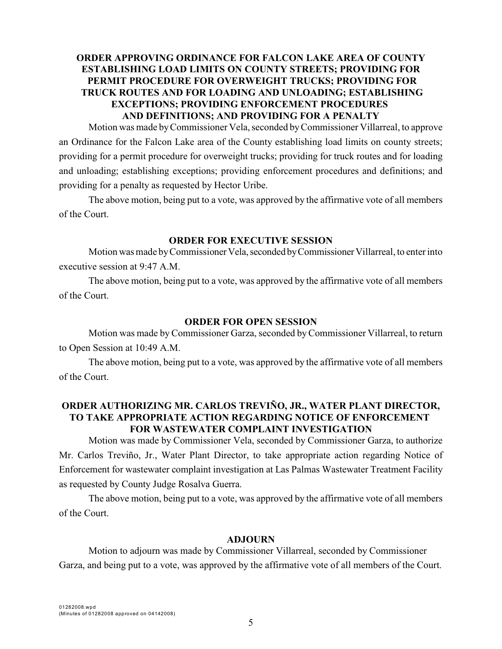## **ORDER APPROVING ORDINANCE FOR FALCON LAKE AREA OF COUNTY ESTABLISHING LOAD LIMITS ON COUNTY STREETS; PROVIDING FOR PERMIT PROCEDURE FOR OVERWEIGHT TRUCKS; PROVIDING FOR TRUCK ROUTES AND FOR LOADING AND UNLOADING; ESTABLISHING EXCEPTIONS; PROVIDING ENFORCEMENT PROCEDURES AND DEFINITIONS; AND PROVIDING FOR A PENALTY**

Motion was made byCommissioner Vela, seconded by Commissioner Villarreal, to approve an Ordinance for the Falcon Lake area of the County establishing load limits on county streets; providing for a permit procedure for overweight trucks; providing for truck routes and for loading and unloading; establishing exceptions; providing enforcement procedures and definitions; and providing for a penalty as requested by Hector Uribe.

The above motion, being put to a vote, was approved by the affirmative vote of all members of the Court.

#### **ORDER FOR EXECUTIVE SESSION**

Motion was made by Commissioner Vela, seconded by Commissioner Villarreal, to enter into executive session at 9:47 A.M.

The above motion, being put to a vote, was approved by the affirmative vote of all members of the Court.

#### **ORDER FOR OPEN SESSION**

Motion was made by Commissioner Garza, seconded by Commissioner Villarreal, to return to Open Session at 10:49 A.M.

The above motion, being put to a vote, was approved by the affirmative vote of all members of the Court.

## **ORDER AUTHORIZING MR. CARLOS TREVIÑO, JR., WATER PLANT DIRECTOR, TO TAKE APPROPRIATE ACTION REGARDING NOTICE OF ENFORCEMENT FOR WASTEWATER COMPLAINT INVESTIGATION**

Motion was made by Commissioner Vela, seconded by Commissioner Garza, to authorize Mr. Carlos Treviño, Jr., Water Plant Director, to take appropriate action regarding Notice of Enforcement for wastewater complaint investigation at Las Palmas Wastewater Treatment Facility as requested by County Judge Rosalva Guerra.

The above motion, being put to a vote, was approved by the affirmative vote of all members of the Court.

#### **ADJOURN**

Motion to adjourn was made by Commissioner Villarreal, seconded by Commissioner Garza, and being put to a vote, was approved by the affirmative vote of all members of the Court.